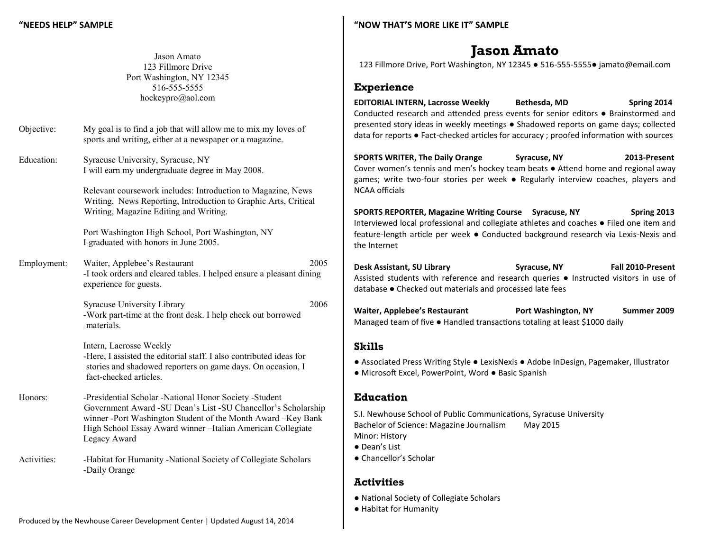Jason Amato 123 Fillmore Drive Port Washington, NY 12345 516-555-5555 hockeypro@aol.com

| Objective: | My goal is to find a job that will allow me to mix my loves of |
|------------|----------------------------------------------------------------|
|            | sports and writing, either at a newspaper or a magazine.       |

Education: Syracuse University, Syracuse, NY I will earn my undergraduate degree in May 2008.

> Relevant coursework includes: Introduction to Magazine, News Writing, News Reporting, Introduction to Graphic Arts, Critical Writing, Magazine Editing and Writing.

Port Washington High School, Port Washington, NY I graduated with honors in June 2005.

Employment: Waiter, Applebee's Restaurant 2005 -I took orders and cleared tables. I helped ensure a pleasant dining experience for guests.

> Syracuse University Library 2006 -Work part-time at the front desk. I help check out borrowed materials.

Intern, Lacrosse Weekly -Here, I assisted the editorial staff. I also contributed ideas for stories and shadowed reporters on game days. On occasion, I fact-checked articles.

Honors: Presidential Scholar -National Honor Society -Student Government Award -SU Dean's List -SU Chancellor's Scholarship winner -Port Washington Student of the Month Award –Key Bank High School Essay Award winner –Italian American Collegiate Legacy Award

Activities: -Habitat for Humanity -National Society of Collegiate Scholars -Daily Orange

### **"NOW THAT'S MORE LIKE IT" SAMPLE**

# **Jason Amato**

123 Fillmore Drive, Port Washington, NY 12345 ● 516-555-5555● jamato@email.com

## **Experience**

**EDITORIAL INTERN, Lacrosse Weekly Bethesda, MD Spring 2014** Conducted research and attended press events for senior editors ● Brainstormed and presented story ideas in weekly meetings ● Shadowed reports on game days; collected data for reports ● Fact-checked articles for accuracy ; proofed information with sources

**SPORTS WRITER, The Daily Orange Syracuse, NY 2013-Present** Cover women's tennis and men's hockey team beats ● Attend home and regional away games; write two-four stories per week ● Regularly interview coaches, players and NCAA officials

**SPORTS REPORTER, Magazine Writing Course Syracuse, NY Spring 2013** Interviewed local professional and collegiate athletes and coaches ● Filed one item and feature-length article per week ● Conducted background research via Lexis-Nexis and the Internet

**Desk Assistant, SU Library Syracuse, NY Fall 2010-Present** Assisted students with reference and research queries ● Instructed visitors in use of database ● Checked out materials and processed late fees

**Waiter, Applebee's Restaurant Port Washington, NY Summer 2009** Managed team of five ● Handled transactions totaling at least \$1000 daily

### **Skills**

- Associated Press Writing Style LexisNexis Adobe InDesign, Pagemaker, Illustrator
- Microsoft Excel, PowerPoint, Word Basic Spanish

# **Education**

S.I. Newhouse School of Public Communications, Syracuse University Bachelor of Science: Magazine Journalism May 2015 Minor: History ● Dean's List

● Chancellor's Scholar

# **Activities**

- National Society of Collegiate Scholars
- Habitat for Humanity